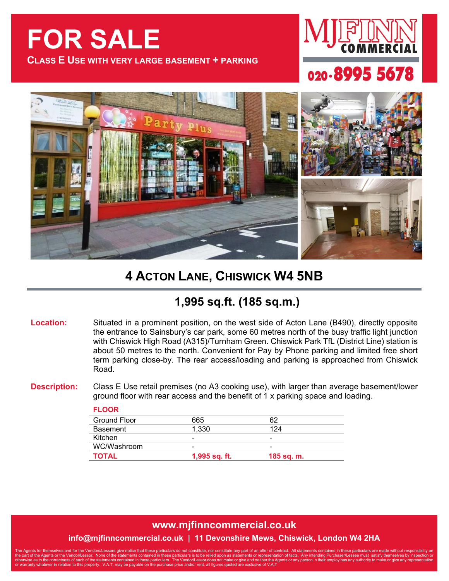# **FOR SALE**

**FLOOR**

**CLASS E USE WITH VERY LARGE BASEMENT + PARKING**







## **4 ACTON LANE, CHISWICK W4 5NB**

### **1,995 sq.ft. (185 sq.m.)**

**Location:** Situated in a prominent position, on the west side of Acton Lane (B490), directly opposite the entrance to Sainsbury's car park, some 60 metres north of the busy traffic light junction with Chiswick High Road (A315)/Turnham Green. Chiswick Park TfL (District Line) station is about 50 metres to the north. Convenient for Pay by Phone parking and limited free short term parking close-by. The rear access/loading and parking is approached from Chiswick Road.

**Description:** Class E Use retail premises (no A3 cooking use), with larger than average basement/lower ground floor with rear access and the benefit of 1 x parking space and loading.

| 665           | 62                       |
|---------------|--------------------------|
| 1.330         | 124                      |
| -             | $\overline{\phantom{0}}$ |
| -             | $\overline{\phantom{0}}$ |
| 1,995 sq. ft. | 185 sq. m.               |
|               |                          |

#### **www.mjfinncommercial.co.uk**

#### **info@mjfinncommercial.co.uk | 11 Devonshire Mews, Chiswick, London W4 2HA**

The Agents for themselves and for the Vendors/Lessors give notice that these particulars do not constitute, nor constitute any part of an offer of contract. All statements contained in these particulars are made without re the part of the Agents or the Vendor/Lessor. None of the statements contained in these particulars is to be relied upon as statements or representation of facts. Any intending Purchaser/Lessee must satisfy themselves by in otherwise as to the correctness of each of the statements contained in these particulars. The Vendor/Lessor does not make or give and neither the Agents or any person in their employ has any authority to make or give any r or warranty whatever in relation to this property. V.A.T. may be payable on the purchase price and/or rent, all figures quoted are exclusive of V.A.T